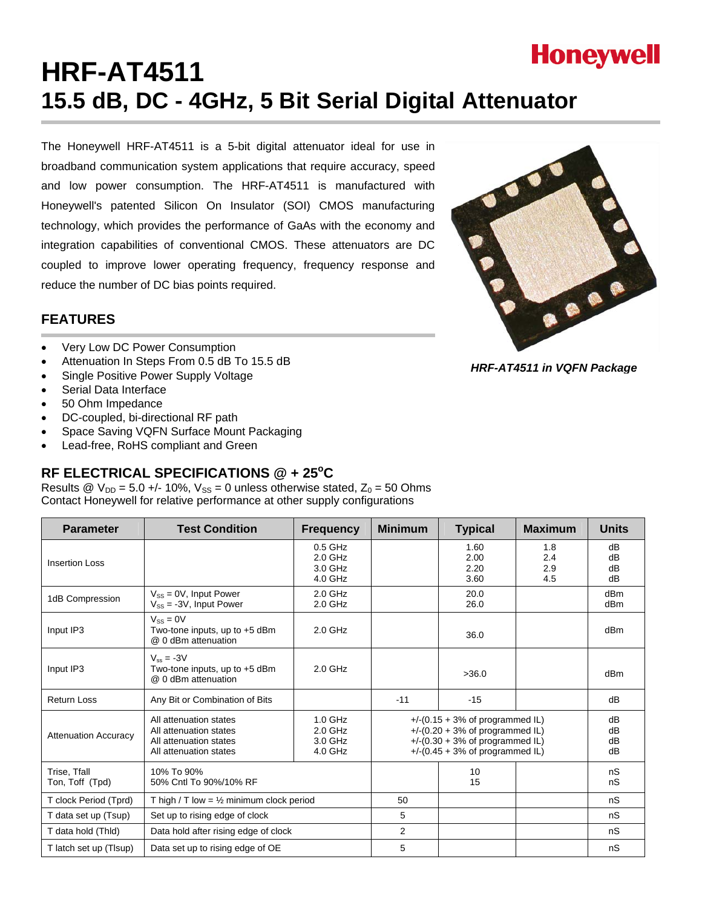

# **HRF-AT4511 15.5 dB, DC - 4GHz, 5 Bit Serial Digital Attenuator**

The Honeywell HRF-AT4511 is a 5-bit digital attenuator ideal for use in broadband communication system applications that require accuracy, speed and low power consumption. The HRF-AT4511 is manufactured with Honeywell's patented Silicon On Insulator (SOI) CMOS manufacturing technology, which provides the performance of GaAs with the economy and integration capabilities of conventional CMOS. These attenuators are DC coupled to improve lower operating frequency, frequency response and reduce the number of DC bias points required.



- Very Low DC Power Consumption
- Attenuation In Steps From 0.5 dB To 15.5 dB
- Single Positive Power Supply Voltage
- Serial Data Interface
- 50 Ohm Impedance
- DC-coupled, bi-directional RF path
- Space Saving VQFN Surface Mount Packaging
- Lead-free, RoHS compliant and Green

## RF ELECTRICAL SPECIFICATIONS @ + 25°C

Results @  $V_{DD} = 5.0 +/- 10\%$ ,  $V_{SS} = 0$  unless otherwise stated,  $Z_0 = 50$  Ohms Contact Honeywell for relative performance at other supply configurations

| <b>Parameter</b>                | <b>Test Condition</b>                                                                                                                                | <b>Frequency</b>                             | <b>Minimum</b>                                                                                                                                       | <b>Typical</b>               | <b>Maximum</b>           | <b>Units</b>         |
|---------------------------------|------------------------------------------------------------------------------------------------------------------------------------------------------|----------------------------------------------|------------------------------------------------------------------------------------------------------------------------------------------------------|------------------------------|--------------------------|----------------------|
| <b>Insertion Loss</b>           |                                                                                                                                                      | $0.5$ GHz<br>$2.0$ GHz<br>3.0 GHz<br>4.0 GHz |                                                                                                                                                      | 1.60<br>2.00<br>2.20<br>3.60 | 1.8<br>2.4<br>2.9<br>4.5 | dB<br>dB<br>dB<br>dB |
| 1dB Compression                 | $V_{SS} = 0V$ , Input Power<br>$V_{SS}$ = -3V, Input Power                                                                                           | $2.0$ GHz<br>$2.0$ GHz                       |                                                                                                                                                      | 20.0<br>26.0                 |                          | dBm<br>dBm           |
| Input IP3                       | $V_{SS} = 0V$<br>Two-tone inputs, up to +5 dBm<br>@ 0 dBm attenuation                                                                                | $2.0$ GHz                                    |                                                                                                                                                      | 36.0                         |                          | dBm                  |
| Input IP3                       | $V_{\text{ee}} = -3V$<br>Two-tone inputs, up to +5 dBm<br>@ 0 dBm attenuation                                                                        | $2.0$ GHz                                    |                                                                                                                                                      | >36.0                        |                          | dBm                  |
| <b>Return Loss</b>              | Any Bit or Combination of Bits                                                                                                                       |                                              | $-11$                                                                                                                                                | $-15$                        |                          | dB                   |
| <b>Attenuation Accuracy</b>     | $1.0$ GHz<br>All attenuation states<br>$2.0$ GHz<br>All attenuation states<br>3.0 GHz<br>All attenuation states<br>4.0 GHz<br>All attenuation states |                                              | $+$ /-(0.15 + 3% of programmed IL)<br>$+$ /-(0.20 + 3% of programmed IL)<br>$+$ /-(0.30 + 3% of programmed IL)<br>$+$ /-(0.45 + 3% of programmed IL) |                              | dB<br>dB<br>dB<br>dB     |                      |
| Trise, Tfall<br>Ton, Toff (Tpd) | 10% To 90%<br>50% Cntl To 90%/10% RF                                                                                                                 |                                              |                                                                                                                                                      | 10<br>15                     |                          | nS<br>nS             |
| T clock Period (Tprd)           | T high / T low = $\frac{1}{2}$ minimum clock period                                                                                                  |                                              | 50                                                                                                                                                   |                              |                          | nS                   |
| T data set up (Tsup)            | Set up to rising edge of clock                                                                                                                       |                                              | 5                                                                                                                                                    |                              |                          | nS                   |
| T data hold (Thid)              | Data hold after rising edge of clock                                                                                                                 |                                              | $\overline{2}$                                                                                                                                       |                              |                          | nS                   |
| T latch set up (TIsup)          | Data set up to rising edge of OE                                                                                                                     |                                              | 5                                                                                                                                                    |                              |                          | nS                   |



*HRF-AT4511 in VQFN Package*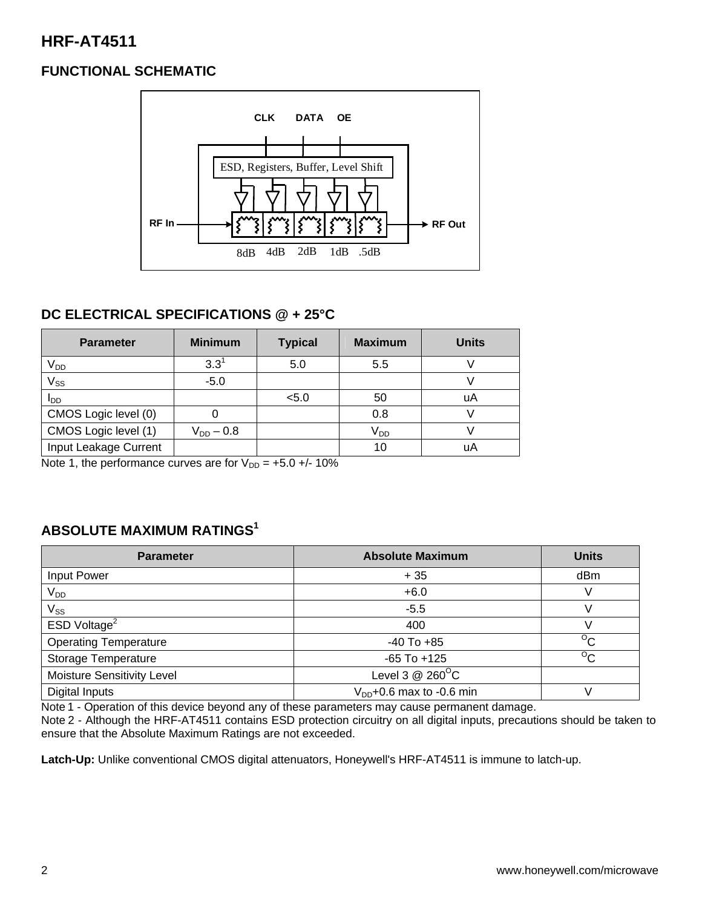# **HRF-AT4511**

# **FUNCTIONAL SCHEMATIC**



## **DC ELECTRICAL SPECIFICATIONS @ + 25°C**

| <b>Parameter</b>      | <b>Minimum</b> | <b>Typical</b> | <b>Maximum</b>        | <b>Units</b> |
|-----------------------|----------------|----------------|-----------------------|--------------|
| V <sub>DD</sub>       | $3.3^{\circ}$  | 5.0            | 5.5                   |              |
| $V_{SS}$              | $-5.0$         |                |                       |              |
| סמי                   |                | < 5.0          | 50                    | uA           |
| CMOS Logic level (0)  |                |                | 0.8                   |              |
| CMOS Logic level (1)  | $V_{DD} - 0.8$ |                | <b>V<sub>DD</sub></b> |              |
| Input Leakage Current |                |                | 10                    | uA           |

Note 1, the performance curves are for  $V_{DD} = +5.0 +/- 10\%$ 

# **ABSOLUTE MAXIMUM RATINGS1**

| <b>Parameter</b>             | <b>Absolute Maximum</b>       | <b>Units</b>   |
|------------------------------|-------------------------------|----------------|
| Input Power                  | $+35$                         | dBm            |
| $V_{DD}$                     | $+6.0$                        | V              |
| $V_{SS}$                     | $-5.5$                        |                |
| ESD Voltage <sup>2</sup>     | 400                           |                |
| <b>Operating Temperature</b> | $-40$ To $+85$                | $\overline{C}$ |
| <b>Storage Temperature</b>   | $-65$ To $+125$               | $\overline{C}$ |
| Moisture Sensitivity Level   | Level 3 $@$ 260 $^{\circ}$ C  |                |
| Digital Inputs               | $V_{DD}$ +0.6 max to -0.6 min |                |

Note 1 - Operation of this device beyond any of these parameters may cause permanent damage.

Note 2 - Although the HRF-AT4511 contains ESD protection circuitry on all digital inputs, precautions should be taken to ensure that the Absolute Maximum Ratings are not exceeded.

**Latch-Up:** Unlike conventional CMOS digital attenuators, Honeywell's HRF-AT4511 is immune to latch-up.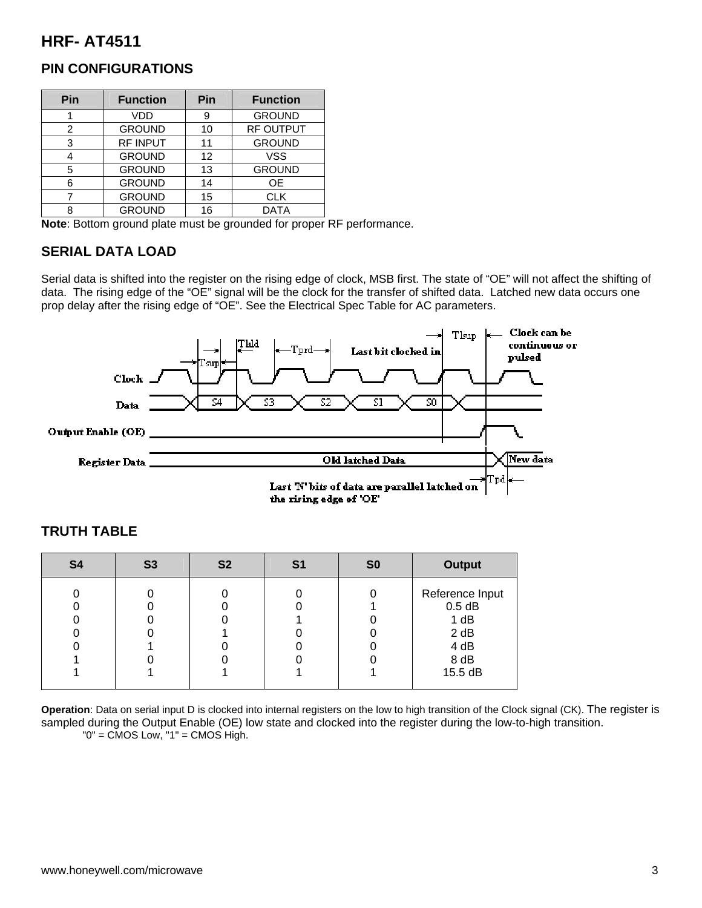# **HRF- AT4511**

| Pin | <b>Function</b> | Pin | <b>Function</b>  |
|-----|-----------------|-----|------------------|
|     | <b>VDD</b>      | 9   | <b>GROUND</b>    |
| 2   | <b>GROUND</b>   | 10  | <b>RF OUTPUT</b> |
| 3   | <b>RF INPUT</b> | 11  | <b>GROUND</b>    |
|     | <b>GROUND</b>   | 12  | <b>VSS</b>       |
| 5   | <b>GROUND</b>   | 13  | <b>GROUND</b>    |
| 6   | <b>GROUND</b>   | 14  | <b>OE</b>        |
|     | <b>GROUND</b>   | 15  | <b>CLK</b>       |
| ი   | <b>GROUND</b>   | 16  | <b>DATA</b>      |

#### **PIN CONFIGURATIONS**

**Note**: Bottom ground plate must be grounded for proper RF performance.

#### **SERIAL DATA LOAD**

Serial data is shifted into the register on the rising edge of clock, MSB first. The state of "OE" will not affect the shifting of data. The rising edge of the "OE" signal will be the clock for the transfer of shifted data. Latched new data occurs one prop delay after the rising edge of "OE". See the Electrical Spec Table for AC parameters.



| <b>S4</b> | <b>S3</b> | S <sub>2</sub> | S <sub>1</sub> | S <sub>0</sub> | <b>Output</b>                                                          |
|-----------|-----------|----------------|----------------|----------------|------------------------------------------------------------------------|
|           |           |                |                |                | Reference Input<br>$0.5$ dB<br>1 dB<br>2 dB<br>4 dB<br>8 dB<br>15.5 dB |
|           |           |                |                |                |                                                                        |

#### **TRUTH TABLE**

**Operation**: Data on serial input D is clocked into internal registers on the low to high transition of the Clock signal (CK). The register is sampled during the Output Enable (OE) low state and clocked into the register during the low-to-high transition.  $"0" = CMOS Low, "1" = CMOS High.$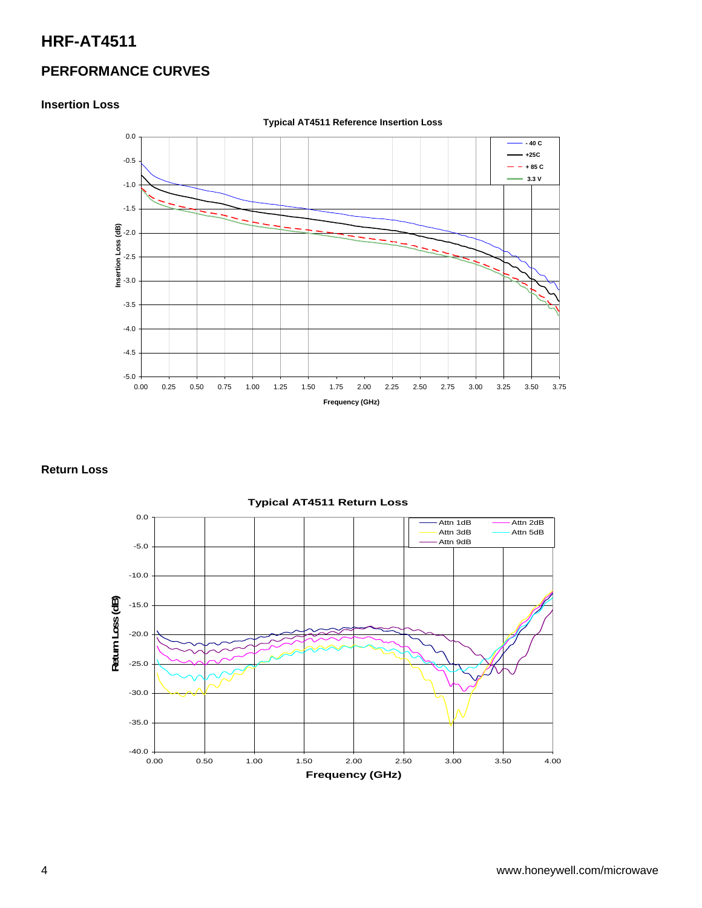# **HRF-AT4511**

# **PERFORMANCE CURVES**

#### **Insertion Loss**



#### **Return Loss**



#### **Typical AT4511 Return Loss**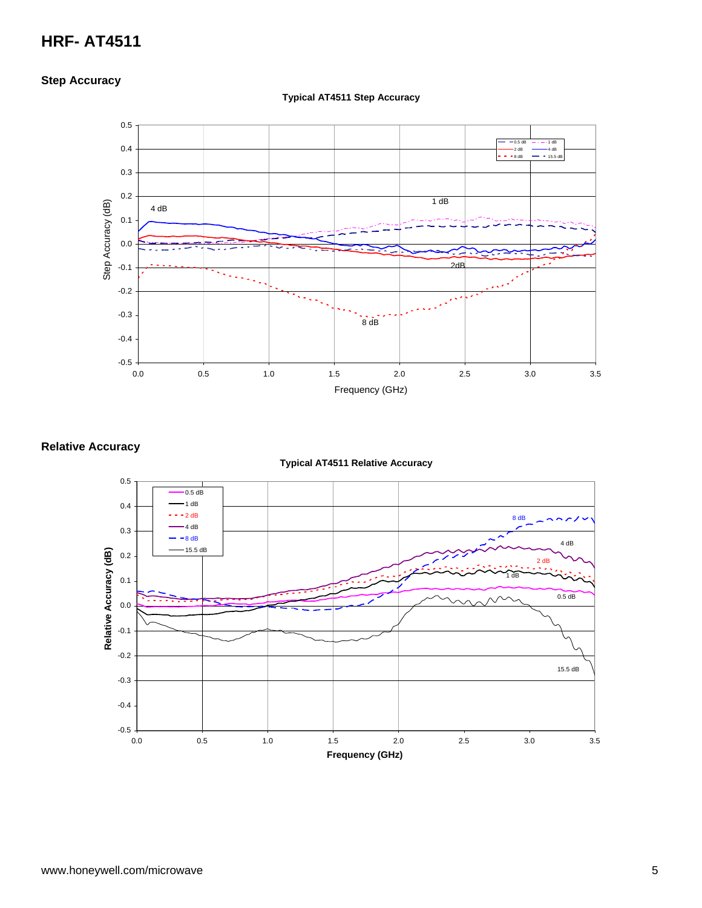# **HRF- AT4511**

#### **Step Accuracy**



#### **Typical AT4511 Step Accuracy**

#### **Relative Accuracy**



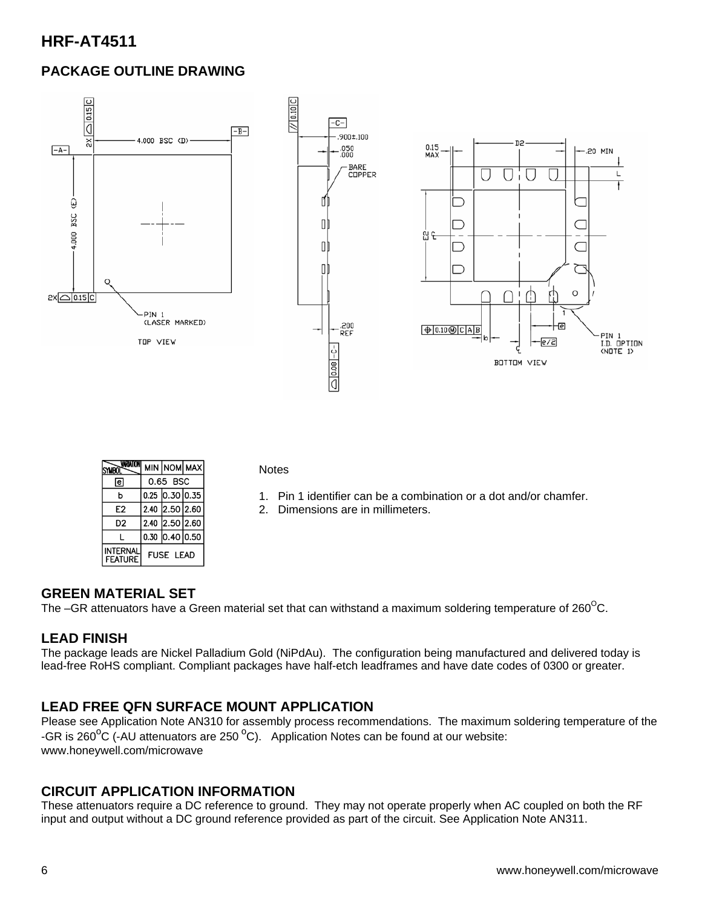# **HRF-AT4511**

# **PACKAGE OUTLINE DRAWING**



|                            |                  |                  | MIN NOM MAX |
|----------------------------|------------------|------------------|-------------|
| lel                        |                  | 0.65 BSC         |             |
| b                          |                  | $0.25$ 0.30 0.35 |             |
| E2                         |                  | 2.40 2.50 2.60   |             |
| D2                         |                  | 2.40 2.50 2.60   |             |
|                            |                  | $0.30$ 0.40 0.50 |             |
| INTERNAI<br><b>FEATURE</b> | <b>FUSE LEAD</b> |                  |             |

**Notes** 

- 1. Pin 1 identifier can be a combination or a dot and/or chamfer.
- 2. Dimensions are in millimeters.

#### **GREEN MATERIAL SET**

The –GR attenuators have a Green material set that can withstand a maximum soldering temperature of  $260^{\circ}$ C.

#### **LEAD FINISH**

The package leads are Nickel Palladium Gold (NiPdAu). The configuration being manufactured and delivered today is lead-free RoHS compliant. Compliant packages have half-etch leadframes and have date codes of 0300 or greater.

### **LEAD FREE QFN SURFACE MOUNT APPLICATION**

Please see Application Note AN310 for assembly process recommendations. The maximum soldering temperature of the -GR is 260<sup>o</sup>C (-AU attenuators are 250<sup>o</sup>C). Application Notes can be found at our website: www.honeywell.com/microwave

#### **CIRCUIT APPLICATION INFORMATION**

These attenuators require a DC reference to ground. They may not operate properly when AC coupled on both the RF input and output without a DC ground reference provided as part of the circuit. See Application Note AN311.